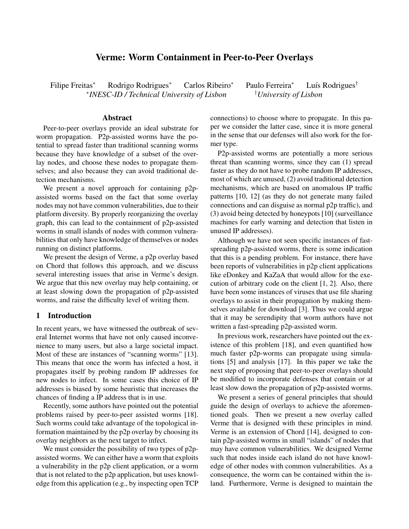# Verme: Worm Containment in Peer-to-Peer Overlays

Filipe Freitas<sup>∗</sup> Rodrigo Rodrigues<sup>∗</sup> Carlos Ribeiro<sup>∗</sup> Paulo Ferreira<sup>∗</sup> Luís Rodrigues<sup>†</sup> ∗ *INESC-ID / Technical University of Lisbon* †*University of Lisbon*

## Abstract

Peer-to-peer overlays provide an ideal substrate for worm propagation. P2p-assisted worms have the potential to spread faster than traditional scanning worms because they have knowledge of a subset of the overlay nodes, and choose these nodes to propagate themselves; and also because they can avoid traditional detection mechanisms.

We present a novel approach for containing p2passisted worms based on the fact that some overlay nodes may not have common vulnerabilities, due to their platform diversity. By properly reorganizing the overlay graph, this can lead to the containment of p2p-assisted worms in small islands of nodes with common vulnerabilities that only have knowledge of themselves or nodes running on distinct platforms.

We present the design of Verme, a p2p overlay based on Chord that follows this approach, and we discuss several interesting issues that arise in Verme's design. We argue that this new overlay may help containing, or at least slowing down the propagation of p2p-assisted worms, and raise the difficulty level of writing them.

#### 1 Introduction

In recent years, we have witnessed the outbreak of several Internet worms that have not only caused inconvenience to many users, but also a large societal impact. Most of these are instances of "scanning worms" [13]. This means that once the worm has infected a host, it propagates itself by probing random IP addresses for new nodes to infect. In some cases this choice of IP addresses is biased by some heuristic that increases the chances of finding a IP address that is in use.

Recently, some authors have pointed out the potential problems raised by peer-to-peer assisted worms [18]. Such worms could take advantage of the topological information maintained by the p2p overlay by choosing its overlay neighbors as the next target to infect.

We must consider the possibility of two types of p2passisted worms. We can either have a worm that exploits a vulnerability in the p2p client application, or a worm that is not related to the p2p application, but uses knowledge from this application (e.g., by inspecting open TCP connections) to choose where to propagate. In this paper we consider the latter case, since it is more general in the sense that our defenses will also work for the former type.

P2p-assisted worms are potentially a more serious threat than scanning worms, since they can (1) spread faster as they do not have to probe random IP addresses, most of which are unused, (2) avoid traditional detection mechanisms, which are based on anomalous IP traffic patterns [10, 12] (as they do not generate many failed connections and can disguise as normal p2p traffic), and (3) avoid being detected by honeypots [10] (surveillance machines for early warning and detection that listen in unused IP addresses).

Although we have not seen specific instances of fastspreading p2p-assisted worms, there is some indication that this is a pending problem. For instance, there have been reports of vulnerabilities in p2p client applications like eDonkey and KaZaA that would allow for the execution of arbitrary code on the client [1, 2]. Also, there have been some instances of viruses that use file sharing overlays to assist in their propagation by making themselves available for download [3]. Thus we could argue that it may be serendipity that worm authors have not written a fast-spreading p2p-assisted worm.

In previous work, researchers have pointed out the existence of this problem [18], and even quantified how much faster p2p-worms can propagate using simulations [5] and analysis [17]. In this paper we take the next step of proposing that peer-to-peer overlays should be modified to incorporate defenses that contain or at least slow down the propagation of p2p-assisted worms.

We present a series of general principles that should guide the design of overlays to achieve the aforementioned goals. Then we present a new overlay called Verme that is designed with these principles in mind. Verme is an extension of Chord [14], designed to contain p2p-assisted worms in small "islands" of nodes that may have common vulnerabilities. We designed Verme such that nodes inside each island do not have knowledge of other nodes with common vulnerabilities. As a consequence, the worm can be contained within the island. Furthermore, Verme is designed to maintain the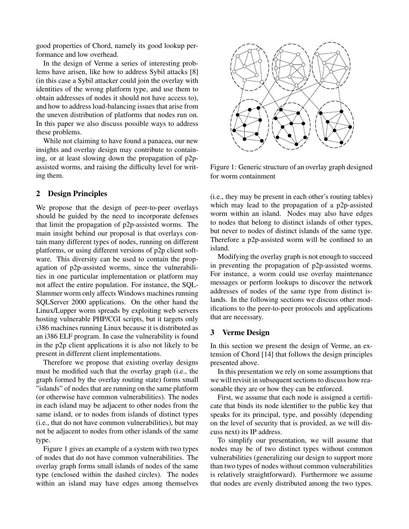good properties of Chord, namely its good lookup performance and low overhead.

In the design of Verme a series of interesting problems have arisen, like how to address Sybil attacks [8] (in this case a Sybil attacker could join the overlay with identities of the wrong platform type, and use them to obtain addresses of nodes it should not have access to), and how to address load-balancing issues that arise from the uneven distribution of platforms that nodes run on. In this paper we also discuss possible ways to address these problems.

While not claiming to have found a panacea, our new insights and overlay design may contribute to containing, or at least slowing down the propagation of p2passisted worms, and raising the difficulty level for writing them.

# 2 Design Principles

We propose that the design of peer-to-peer overlays should be guided by the need to incorporate defenses that limit the propagation of p2p-assisted worms. The main insight behind our proposal is that overlays contain many different types of nodes, running on different platforms, or using different versions of p2p client software. This diversity can be used to contain the propagation of p2p-assisted worms, since the vulnerabilities in one particular implementation or platform may not affect the entire population. For instance, the SQL-Slammer worm only affects Windows machines running SQLServer 2000 applications. On the other hand the Linux/Lupper worm spreads by exploiting web servers hosting vulnerable PHP/CGI scripts, but it targets only i386 machines running Linux because it is distributed as an i386 ELF program. In case the vulnerability is found in the p2p client applications it is also not likely to be present in different client implementations.

Therefore we propose that existing overlay designs must be modified such that the overlay graph (i.e., the graph formed by the overlay routing state) forms small "islands" of nodes that are running on the same platform (or otherwise have common vulnerabilities). The nodes in each island may be adjacent to other nodes from the same island, or to nodes from islands of distinct types (i.e., that do not have common vulnerabilities), but may not be adjacent to nodes from other islands of the same type.

Figure 1 gives an example of a system with two types of nodes that do not have common vulnerabilities. The overlay graph forms small islands of nodes of the same type (enclosed within the dashed circles). The nodes within an island may have edges among themselves



Figure 1: Generic structure of an overlay graph designed for worm containment

(i.e., they may be present in each other's routing tables) which may lead to the propagation of a p2p-assisted worm within an island. Nodes may also have edges to nodes that belong to distinct islands of other types, but never to nodes of distinct islands of the same type. Therefore a p2p-assisted worm will be confined to an island.

Modifying the overlay graph is not enough to succeed in preventing the propagation of p2p-assisted worms. For instance, a worm could use overlay maintenance messages or perform lookups to discover the network addresses of nodes of the same type from distinct islands. In the following sections we discuss other modifications to the peer-to-peer protocols and applications that are necessary.

# 3 Verme Design

In this section we present the design of Verme, an extension of Chord [14] that follows the design principles presented above.

In this presentation we rely on some assumptions that we will revisit in subsequent sections to discuss how reasonable they are or how they can be enforced.

First, we assume that each node is assigned a certificate that binds its node identifier to the public key that speaks for its principal, type, and possibly (depending on the level of security that is provided, as we will discuss next) its IP address.

To simplify our presentation, we will assume that nodes may be of two distinct types without common vulnerabilities (generalizing our design to support more than two types of nodes without common vulnerabilities is relatively straightforward). Furthermore we assume that nodes are evenly distributed among the two types.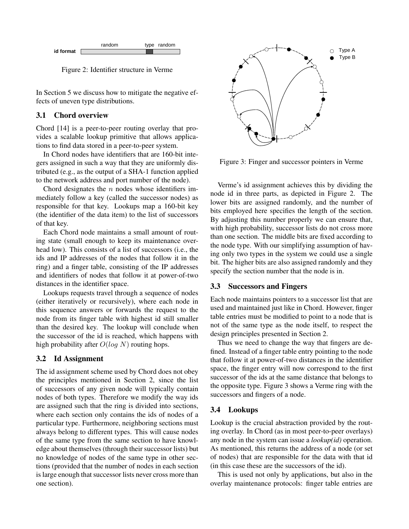

Figure 2: Identifier structure in Verme

In Section 5 we discuss how to mitigate the negative effects of uneven type distributions.

### 3.1 Chord overview

Chord [14] is a peer-to-peer routing overlay that provides a scalable lookup primitive that allows applications to find data stored in a peer-to-peer system.

In Chord nodes have identifiers that are 160-bit integers assigned in such a way that they are uniformly distributed (e.g., as the output of a SHA-1 function applied to the network address and port number of the node).

Chord designates the  $n$  nodes whose identifiers immediately follow a key (called the successor nodes) as responsible for that key. Lookups map a 160-bit key (the identifier of the data item) to the list of successors of that key.

Each Chord node maintains a small amount of routing state (small enough to keep its maintenance overhead low). This consists of a list of successors (i.e., the ids and IP addresses of the nodes that follow it in the ring) and a finger table, consisting of the IP addresses and identifiers of nodes that follow it at power-of-two distances in the identifier space.

Lookups requests travel through a sequence of nodes (either iteratively or recursively), where each node in this sequence answers or forwards the request to the node from its finger table with highest id still smaller than the desired key. The lookup will conclude when the successor of the id is reached, which happens with high probability after  $O(log N)$  routing hops.

# 3.2 Id Assignment

The id assignment scheme used by Chord does not obey the principles mentioned in Section 2, since the list of successors of any given node will typically contain nodes of both types. Therefore we modify the way ids are assigned such that the ring is divided into sections, where each section only contains the ids of nodes of a particular type. Furthermore, neighboring sections must always belong to different types. This will cause nodes of the same type from the same section to have knowledge about themselves (through their successor lists) but no knowledge of nodes of the same type in other sections (provided that the number of nodes in each section is large enough that successor lists never cross more than one section).



Figure 3: Finger and successor pointers in Verme

Verme's id assignment achieves this by dividing the node id in three parts, as depicted in Figure 2. The lower bits are assigned randomly, and the number of bits employed here specifies the length of the section. By adjusting this number properly we can ensure that, with high probability, successor lists do not cross more than one section. The middle bits are fixed according to the node type. With our simplifying assumption of having only two types in the system we could use a single bit. The higher bits are also assigned randomly and they specify the section number that the node is in.

# 3.3 Successors and Fingers

Each node maintains pointers to a successor list that are used and maintained just like in Chord. However, finger table entries must be modified to point to a node that is not of the same type as the node itself, to respect the design principles presented in Section 2.

Thus we need to change the way that fingers are defined. Instead of a finger table entry pointing to the node that follow it at power-of-two distances in the identifier space, the finger entry will now correspond to the first successor of the ids at the same distance that belongs to the opposite type. Figure 3 shows a Verme ring with the successors and fingers of a node.

# 3.4 Lookups

Lookup is the crucial abstraction provided by the routing overlay. In Chord (as in most peer-to-peer overlays) any node in the system can issue a *lookup(id)* operation. As mentioned, this returns the address of a node (or set of nodes) that are responsible for the data with that id (in this case these are the successors of the id).

This is used not only by applications, but also in the overlay maintenance protocols: finger table entries are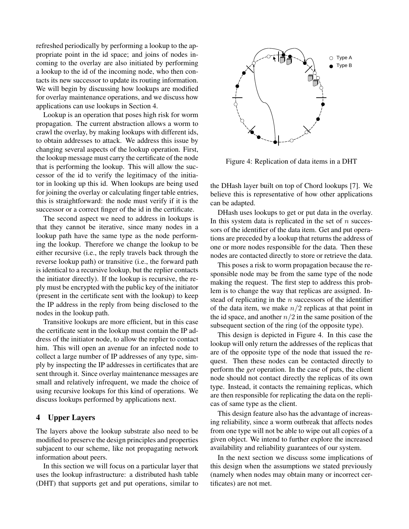refreshed periodically by performing a lookup to the appropriate point in the id space; and joins of nodes incoming to the overlay are also initiated by performing a lookup to the id of the incoming node, who then contacts its new successor to update its routing information. We will begin by discussing how lookups are modified for overlay maintenance operations, and we discuss how applications can use lookups in Section 4.

Lookup is an operation that poses high risk for worm propagation. The current abstraction allows a worm to crawl the overlay, by making lookups with different ids, to obtain addresses to attack. We address this issue by changing several aspects of the lookup operation. First, the lookup message must carry the certificate of the node that is performing the lookup. This will allow the successor of the id to verify the legitimacy of the initiator in looking up this id. When lookups are being used for joining the overlay or calculating finger table entries, this is straightforward: the node must verify if it is the successor or a correct finger of the id in the certificate.

The second aspect we need to address in lookups is that they cannot be iterative, since many nodes in a lookup path have the same type as the node performing the lookup. Therefore we change the lookup to be either recursive (i.e., the reply travels back through the reverse lookup path) or transitive (i.e., the forward path is identical to a recursive lookup, but the replier contacts the initiator directly). If the lookup is recursive, the reply must be encrypted with the public key of the initiator (present in the certificate sent with the lookup) to keep the IP address in the reply from being disclosed to the nodes in the lookup path.

Transitive lookups are more efficient, but in this case the certificate sent in the lookup must contain the IP address of the initiator node, to allow the replier to contact him. This will open an avenue for an infected node to collect a large number of IP addresses of any type, simply by inspecting the IP addresses in certificates that are sent through it. Since overlay maintenance messages are small and relatively infrequent, we made the choice of using recursive lookups for this kind of operations. We discuss lookups performed by applications next.

#### 4 Upper Layers

The layers above the lookup substrate also need to be modified to preserve the design principles and properties subjacent to our scheme, like not propagating network information about peers.

In this section we will focus on a particular layer that uses the lookup infrastructure: a distributed hash table (DHT) that supports get and put operations, similar to



Figure 4: Replication of data items in a DHT

the DHash layer built on top of Chord lookups [7]. We believe this is representative of how other applications can be adapted.

DHash uses lookups to get or put data in the overlay. In this system data is replicated in the set of  $n$  successors of the identifier of the data item. Get and put operations are preceded by a lookup that returns the address of one or more nodes responsible for the data. Then these nodes are contacted directly to store or retrieve the data.

This poses a risk to worm propagation because the responsible node may be from the same type of the node making the request. The first step to address this problem is to change the way that replicas are assigned. Instead of replicating in the  $n$  successors of the identifier of the data item, we make  $n/2$  replicas at that point in the id space, and another  $n/2$  in the same position of the subsequent section of the ring (of the opposite type).

This design is depicted in Figure 4. In this case the lookup will only return the addresses of the replicas that are of the opposite type of the node that issued the request. Then these nodes can be contacted directly to perform the *get* operation. In the case of puts, the client node should not contact directly the replicas of its own type. Instead, it contacts the remaining replicas, which are then responsible for replicating the data on the replicas of same type as the client.

This design feature also has the advantage of increasing reliability, since a worm outbreak that affects nodes from one type will not be able to wipe out all copies of a given object. We intend to further explore the increased availability and reliability guarantees of our system.

In the next section we discuss some implications of this design when the assumptions we stated previously (namely when nodes may obtain many or incorrect certificates) are not met.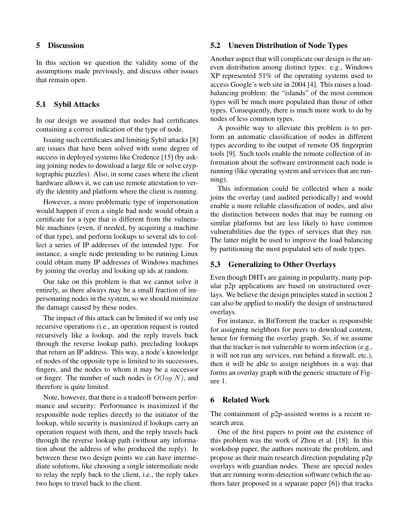#### 5 Discussion

In this section we question the validity some of the assumptions made previously, and discuss other issues that remain open.

### 5.1 Sybil Attacks

In our design we assumed that nodes had certificates containing a correct indication of the type of node.

Issuing such certificates and limiting Sybil attacks [8] are issues that have been solved with some degree of success in deployed systems like Credence [15] (by asking joining nodes to download a large file or solve cryptographic puzzles). Also, in some cases where the client hardware allows it, we can use remote attestation to verify the identity and platform where the client is running.

However, a more problematic type of impersonation would happen if even a single bad node would obtain a certificate for a type that is different from the vulnerable machines (even, if needed, by acquiring a machine of that type), and perform lookups to several ids to collect a series of IP addresses of the intended type. For instance, a single node pretending to be running Linux could obtain many IP addresses of Windows machines by joining the overlay and looking up ids at random.

Our take on this problem is that we cannot solve it entirely, as there always may be a small fraction of impersonating nodes in the system, so we should minimize the damage caused by these nodes.

The impact of this attack can be limited if we only use recursive operations (i.e., an operation request is routed recursively like a lookup, and the reply travels back through the reverse lookup path), precluding lookups that return an IP address. This way, a node's knowledge of nodes of the opposite type is limited to its successors, fingers, and the nodes to whom it may be a successor or finger. The number of such nodes is  $O(log N)$ , and therefore is quite limited.

Note, however, that there is a tradeoff between performance and security: Performance is maximized if the responsible node replies directly to the initiator of the lookup, while security is maximized if lookups carry an operation request with them, and the reply travels back through the reverse lookup path (without any information about the address of who produced the reply). In between these two design points we can have intermediate solutions, like choosing a single intermediate node to relay the reply back to the client, i.e., the reply takes two hops to travel back to the client.

#### 5.2 Uneven Distribution of Node Types

Another aspect that will complicate our design is the uneven distribution among distinct types: e.g., Windows XP represented 51% of the operating systems used to access Google's web site in 2004 [4]. This raises a loadbalancing problem: the "islands" of the most common types will be much more populated than those of other types. Consequently, there is much more work to do by nodes of less common types.

A possible way to alleviate this problem is to perform an automatic classification of nodes in different types according to the output of remote OS fingerprint tools [9]. Such tools enable the remote collection of information about the software environment each node is running (like operating system and services that are running).

This information could be collected when a node joins the overlay (and audited periodically) and would enable a more reliable classification of nodes, and also the distinction between nodes that may be running on similar platforms but are less likely to have common vulnerabilities due the types of services that they run. The latter might be used to improve the load balancing by partitioning the most populated sets of node types.

### 5.3 Generalizing to Other Overlays

Even though DHTs are gaining in popularity, many popular p2p applications are based on unstructured overlays. We believe the design principles stated in section 2 can also be applied to modify the design of unstructured overlays.

For instance, in BitTorrent the tracker is responsible for assigning neighbors for peers to download content, hence for forming the overlay graph. So, if we assume that the tracker is not vulnerable to worm infection (e.g., it will not run any services, run behind a firewall, etc.), then it will be able to assign neighbors in a way that forms an overlay graph with the generic structure of Figure 1.

### 6 Related Work

The containment of p2p-assisted worms is a recent research area.

One of the first papers to point out the existence of this problem was the work of Zhou et al. [18]. In this workshop paper, the authors motivate the problem, and propose as their main research direction populating p2p overlays with guardian nodes. These are special nodes that are running worm-detection software (which the authors later proposed in a separate paper [6]) that tracks